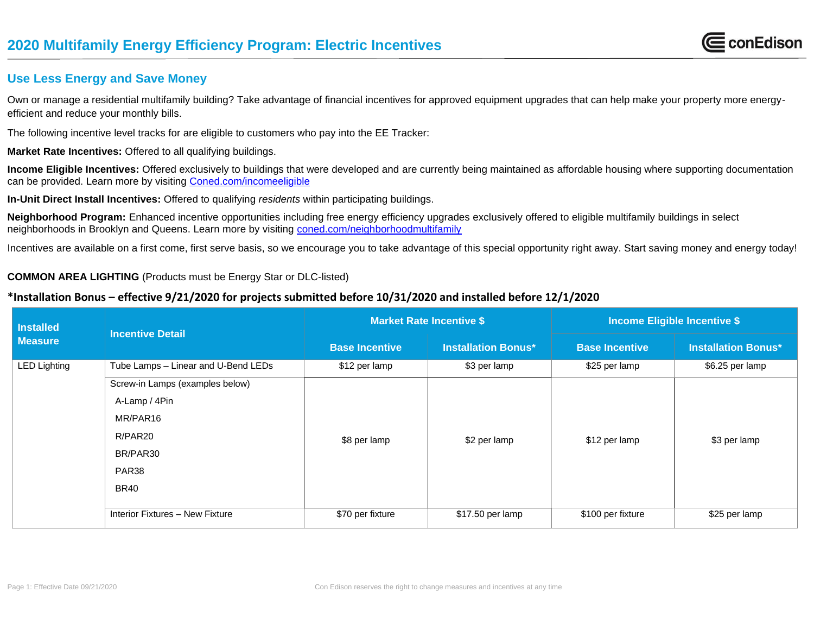

## **Use Less Energy and Save Money**

Own or manage a residential multifamily building? Take advantage of financial incentives for approved equipment upgrades that can help make your property more energyefficient and reduce your monthly bills.

The following incentive level tracks for are eligible to customers who pay into the EE Tracker:

**Market Rate Incentives:** Offered to all qualifying buildings.

**Income Eligible Incentives:** Offered exclusively to buildings that were developed and are currently being maintained as affordable housing where supporting documentation can be provided. Learn more by visiting [Coned.com/incomeeligible](http://www.coned.com/incomeeligible) 

**In-Unit Direct Install Incentives:** Offered to qualifying *residents* within participating buildings.

**Neighborhood Program:** Enhanced incentive opportunities including free energy efficiency upgrades exclusively offered to eligible multifamily buildings in select neighborhoods in Brooklyn and Queens. Learn more by visiting [coned.com/neighborhoodmultifamily](file:///C:/Users/DEPIERROM/Desktop/MF%20Program%20Data/2019%20MFEEP%20Planning/coned.com/neighborhoodmultifamily) 

Incentives are available on a first come, first serve basis, so we encourage you to take advantage of this special opportunity right away. Start saving money and energy today!

### **COMMON AREA LIGHTING** (Products must be Energy Star or DLC-listed)

## **\*Installation Bonus – effective 9/21/2020 for projects submitted before 10/31/2020 and installed before 12/1/2020**

| <b>Installed</b><br><b>Measure</b> | <b>Incentive Detail</b>             | <b>Market Rate Incentive \$</b> |                            | <b>Income Eligible Incentive \$</b> |                            |
|------------------------------------|-------------------------------------|---------------------------------|----------------------------|-------------------------------------|----------------------------|
|                                    |                                     | <b>Base Incentive</b>           | <b>Installation Bonus*</b> | <b>Base Incentive</b>               | <b>Installation Bonus*</b> |
| <b>LED Lighting</b>                | Tube Lamps - Linear and U-Bend LEDs | \$12 per lamp                   | \$3 per lamp               | \$25 per lamp                       | \$6.25 per lamp            |
|                                    | Screw-in Lamps (examples below)     |                                 |                            |                                     |                            |
|                                    | A-Lamp / 4Pin                       | \$8 per lamp                    | \$2 per lamp               | \$12 per lamp                       | \$3 per lamp               |
|                                    | MR/PAR16                            |                                 |                            |                                     |                            |
|                                    | R/PAR20                             |                                 |                            |                                     |                            |
|                                    | BR/PAR30                            |                                 |                            |                                     |                            |
|                                    | PAR <sub>38</sub>                   |                                 |                            |                                     |                            |
|                                    | <b>BR40</b>                         |                                 |                            |                                     |                            |
|                                    | Interior Fixtures - New Fixture     | \$70 per fixture                | \$17.50 per lamp           | \$100 per fixture                   | \$25 per lamp              |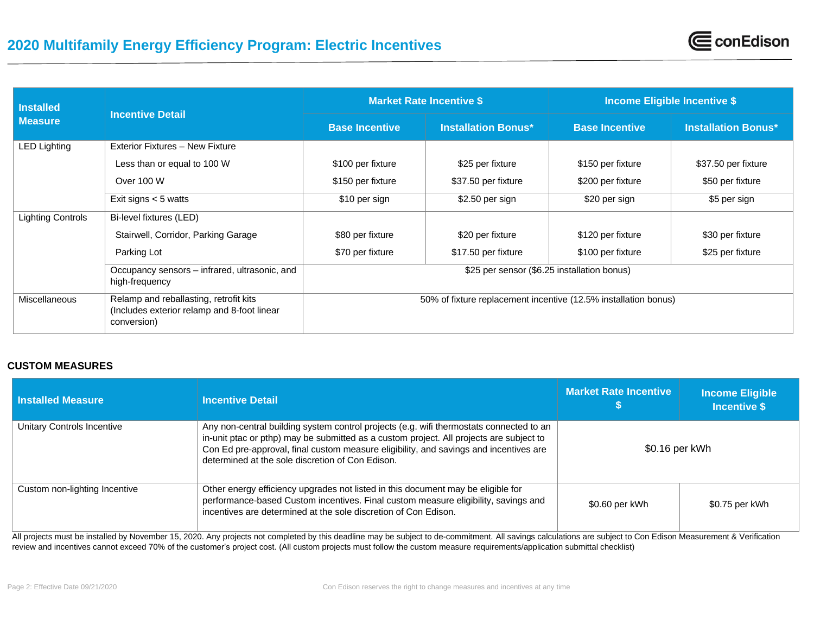| <b>Installed</b>         | <b>Incentive Detail</b>                                                                               | <b>Market Rate Incentive \$</b>                                 |                            | <b>Income Eligible Incentive \$</b> |                            |
|--------------------------|-------------------------------------------------------------------------------------------------------|-----------------------------------------------------------------|----------------------------|-------------------------------------|----------------------------|
| <b>Measure</b>           |                                                                                                       | <b>Base Incentive</b>                                           | <b>Installation Bonus*</b> | <b>Base Incentive</b>               | <b>Installation Bonus*</b> |
| <b>LED Lighting</b>      | Exterior Fixtures - New Fixture                                                                       |                                                                 |                            |                                     |                            |
|                          | Less than or equal to 100 W                                                                           | \$100 per fixture                                               | \$25 per fixture           | \$150 per fixture                   | \$37.50 per fixture        |
|                          | Over 100 W                                                                                            | \$150 per fixture                                               | \$37.50 per fixture        | \$200 per fixture                   | \$50 per fixture           |
|                          | Exit signs $<$ 5 watts                                                                                | \$10 per sign                                                   | $$2.50$ per sign           | \$20 per sign                       | \$5 per sign               |
| <b>Lighting Controls</b> | Bi-level fixtures (LED)                                                                               |                                                                 |                            |                                     |                            |
|                          | Stairwell, Corridor, Parking Garage                                                                   | \$80 per fixture                                                | \$20 per fixture           | \$120 per fixture                   | \$30 per fixture           |
|                          | Parking Lot                                                                                           | \$70 per fixture                                                | \$17.50 per fixture        | \$100 per fixture                   | \$25 per fixture           |
|                          | Occupancy sensors - infrared, ultrasonic, and<br>high-frequency                                       | \$25 per sensor (\$6.25 installation bonus)                     |                            |                                     |                            |
| <b>Miscellaneous</b>     | Relamp and reballasting, retrofit kits<br>(Includes exterior relamp and 8-foot linear)<br>conversion) | 50% of fixture replacement incentive (12.5% installation bonus) |                            |                                     |                            |

CconEdison

### **CUSTOM MEASURES**

| l Installed Measure           | <b>Incentive Detail</b>                                                                                                                                                                                                                                                                                                         | <b>Market Rate Incentive</b> | <b>Income Eligible</b><br><b>Incentive \$</b> |
|-------------------------------|---------------------------------------------------------------------------------------------------------------------------------------------------------------------------------------------------------------------------------------------------------------------------------------------------------------------------------|------------------------------|-----------------------------------------------|
| Unitary Controls Incentive    | Any non-central building system control projects (e.g. wifi thermostats connected to an<br>in-unit ptac or pthp) may be submitted as a custom project. All projects are subject to<br>Con Ed pre-approval, final custom measure eligibility, and savings and incentives are<br>determined at the sole discretion of Con Edison. | \$0.16 per kWh               |                                               |
| Custom non-lighting Incentive | Other energy efficiency upgrades not listed in this document may be eligible for<br>performance-based Custom incentives. Final custom measure eligibility, savings and<br>incentives are determined at the sole discretion of Con Edison.                                                                                       | \$0.60 per kWh               | \$0.75 per kWh                                |

All projects must be installed by November 15, 2020. Any projects not completed by this deadline may be subject to de-commitment. All savings calculations are subject to Con Edison Measurement & Verification review and incentives cannot exceed 70% of the customer's project cost. (All custom projects must follow the custom measure requirements/application submittal checklist)